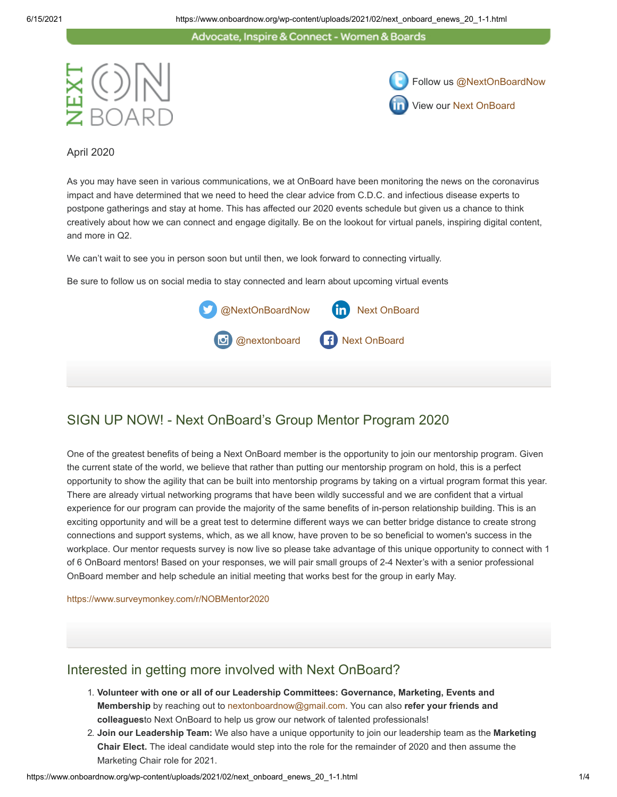Advocate, Inspire & Connect - Women & Boards





April 2020

As you may have seen in various communications, we at OnBoard have been monitoring the news on the coronavirus impact and have determined that we need to heed the clear advice from C.D.C. and infectious disease experts to postpone gatherings and stay at home. This has affected our 2020 events schedule but given us a chance to think creatively about how we can connect and engage digitally. Be on the lookout for virtual panels, inspiring digital content, and more in Q2.

We can't wait to see you in person soon but until then, we look forward to connecting virtually.

Be sure to follow us on social media to stay connected and learn about upcoming virtual events



## SIGN UP NOW! - Next OnBoard's Group Mentor Program 2020

One of the greatest benefits of being a Next OnBoard member is the opportunity to join our mentorship program. Given the current state of the world, we believe that rather than putting our mentorship program on hold, this is a perfect opportunity to show the agility that can be built into mentorship programs by taking on a virtual program format this year. There are already virtual networking programs that have been wildly successful and we are confident that a virtual experience for our program can provide the majority of the same benefits of in-person relationship building. This is an exciting opportunity and will be a great test to determine different ways we can better bridge distance to create strong connections and support systems, which, as we all know, have proven to be so beneficial to women's success in the workplace. Our mentor requests survey is now live so please take advantage of this unique opportunity to connect with 1 of 6 OnBoard mentors! Based on your responses, we will pair small groups of 2-4 Nexter's with a senior professional OnBoard member and help schedule an initial meeting that works best for the group in early May.

<https://www.surveymonkey.com/r/NOBMentor2020>

#### Interested in getting more involved with Next OnBoard?

- 1. **Volunteer with one or all of our Leadership Committees: Governance, Marketing, Events and Membership** by reaching out to [nextonboardnow@gmail.com](mailto:nextonboardnow@gmail.com). You can also **refer your friends and colleagues**to Next OnBoard to help us grow our network of talented professionals!
- 2. **Join our Leadership Team:** We also have a unique opportunity to join our leadership team as the **Marketing Chair Elect.** The ideal candidate would step into the role for the remainder of 2020 and then assume the Marketing Chair role for 2021.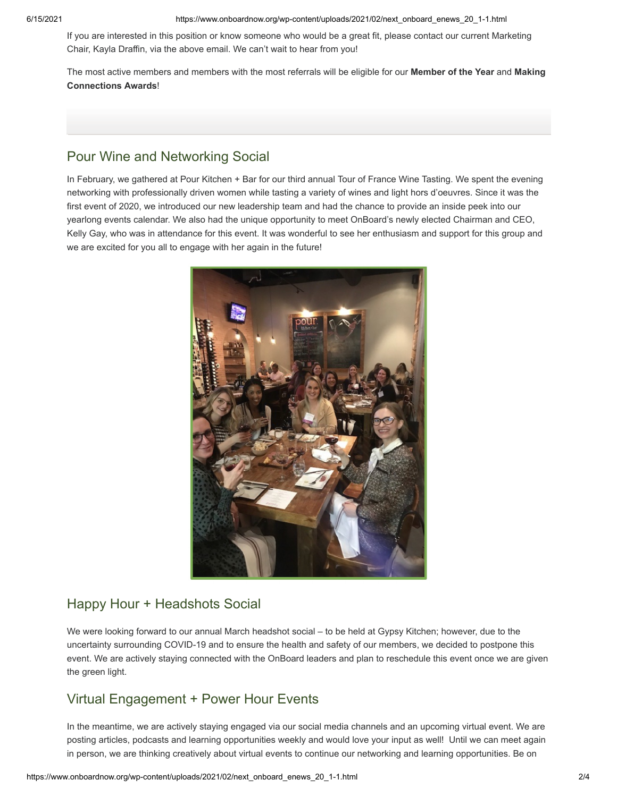6/15/2021 https://www.onboardnow.org/wp-content/uploads/2021/02/next\_onboard\_enews\_20\_1-1.html

If you are interested in this position or know someone who would be a great fit, please contact our current Marketing Chair, Kayla Draffin, via the above email. We can't wait to hear from you!

The most active members and members with the most referrals will be eligible for our **Member of the Year** and **Making Connections Awards**!

# Pour Wine and Networking Social

In February, we gathered at Pour Kitchen + Bar for our third annual Tour of France Wine Tasting. We spent the evening networking with professionally driven women while tasting a variety of wines and light hors d'oeuvres. Since it was the first event of 2020, we introduced our new leadership team and had the chance to provide an inside peek into our yearlong events calendar. We also had the unique opportunity to meet OnBoard's newly elected Chairman and CEO, Kelly Gay, who was in attendance for this event. It was wonderful to see her enthusiasm and support for this group and we are excited for you all to engage with her again in the future!



## Happy Hour + Headshots Social

We were looking forward to our annual March headshot social – to be held at Gypsy Kitchen; however, due to the uncertainty surrounding COVID-19 and to ensure the health and safety of our members, we decided to postpone this event. We are actively staying connected with the OnBoard leaders and plan to reschedule this event once we are given the green light.

## Virtual Engagement + Power Hour Events

In the meantime, we are actively staying engaged via our social media channels and an upcoming virtual event. We are posting articles, podcasts and learning opportunities weekly and would love your input as well! Until we can meet again in person, we are thinking creatively about virtual events to continue our networking and learning opportunities. Be on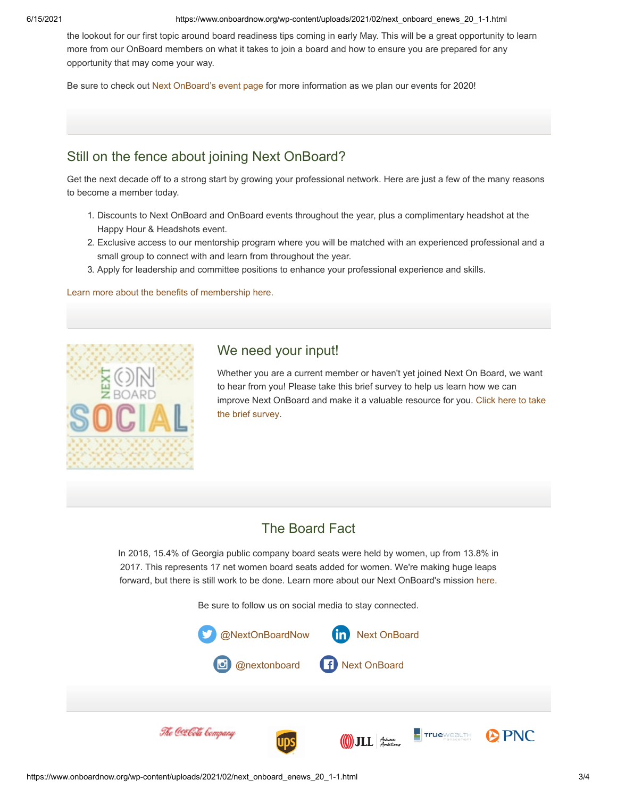6/15/2021 https://www.onboardnow.org/wp-content/uploads/2021/02/next\_onboard\_enews\_20\_1-1.html

the lookout for our first topic around board readiness tips coming in early May. This will be a great opportunity to learn more from our OnBoard members on what it takes to join a board and how to ensure you are prepared for any opportunity that may come your way.

Be sure to check out [Next OnBoard's event page](https://www.onboardnow.org/news-events/events/) for more information as we plan our events for 2020!

### Still on the fence about joining Next OnBoard?

Get the next decade off to a strong start by growing your professional network. Here are just a few of the many reasons to become a member today.

- 1. Discounts to Next OnBoard and OnBoard events throughout the year, plus a complimentary headshot at the Happy Hour & Headshots event.
- 2. Exclusive access to our mentorship program where you will be matched with an experienced professional and a small group to connect with and learn from throughout the year.
- 3. Apply for leadership and committee positions to enhance your professional experience and skills.

[Learn more about the benefits of membership here.](https://www.onboardnow.org/next-onboard/next-membership/)



#### We need your input!

Whether you are a current member or haven't yet joined Next On Board, we want to hear from you! Please take this brief survey to help us learn how we can [improve Next OnBoard and make it a valuable resource for you. Click here to take](https://www.surveymonkey.com/survey-taken/?sm=m3xZOh4IRYXiSeZ8KlSWeEfYhrJOJ14uNsjwiwtjbc7oUuhDhu140vY8oJnR5yfDmBmjTRkvbkLJtcQG8hFDkrFBDQKrDap0a5Z_2BpBGvRpQ_3D) the brief survey.

#### The Board Fact

In 2018, 15.4% of Georgia public company board seats were held by women, up from 13.8% in 2017. This represents 17 net women board seats added for women. We're making huge leaps forward, but t[here](https://www.onboardnow.org/next-onboard/about-next-onboard/) is still work to be done. Learn more about our Next OnBoard's mission here.

Be sure to follow us on social media to stay connected.